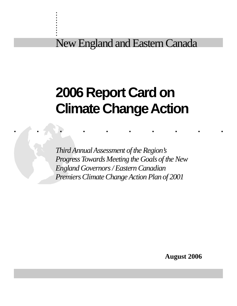New England and Eastern Canada

. . :<br>: :<br>: . . :<br>: . :<br>: :<br>:

# **2006 Report Card on Climate Change Action**

..........

*Third Annual Assessment of the Region's Progress Towards Meeting the Goals of the New England Governors / Eastern Canadian Premiers Climate Change Action Plan of 2001*

**August 2006**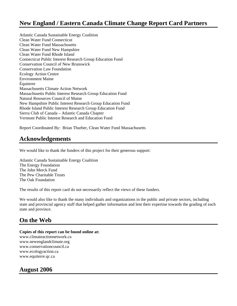### **New England / Eastern Canada Climate Change Report Card Partners**

Atlantic Canada Sustainable Energy Coalition Clean Water Fund Connecticut Clean Water Fund Massachusetts Clean Water Fund New Hampshire Clean Water Fund Rhode Island Connecticut Public Interest Research Group Education Fund Conservation Council of New Brunswick Conservation Law Foundation Ecology Action Centre Environment Maine Équiterre Massachusetts Climate Action Network Massachusetts Public Interest Research Group Education Fund Natural Resources Council of Maine New Hampshire Public Interest Research Group Education Fund Rhode Island Public Interest Research Group Education Fund Sierra Club of Canada – Atlantic Canada Chapter Vermont Public Interest Research and Education Fund

Report Coordinated By: Brian Thurber, Clean Water Fund Massachusetts

### **Acknowledgements**

We would like to thank the funders of this project for their generous support:

Atlantic Canada Sustainable Energy Coalition The Energy Foundation The John Merck Fund The Pew Charitable Trusts The Oak Foundation

The results of this report card do not necessarily reflect the views of these funders.

We would also like to thank the many individuals and organizations in the public and private sectors, including state and provincial agency staff that helped gather information and lent their expertise towards the grading of each state and province.

### **On the Web**

### **Copies of this report can be found online at:**

www.climateactionnetwork.ca www.newenglandclimate.org www.conservationcouncil.ca www.ecologyaction.ca www.equiterre.qc.ca

### **August 2006**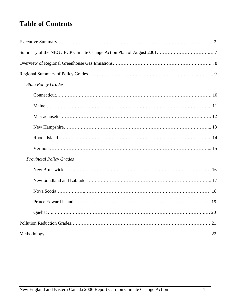# **Table of Contents**

| <b>State Policy Grades</b>      |
|---------------------------------|
|                                 |
|                                 |
|                                 |
|                                 |
|                                 |
|                                 |
| <b>Provincial Policy Grades</b> |
|                                 |
|                                 |
|                                 |
|                                 |
|                                 |
|                                 |
|                                 |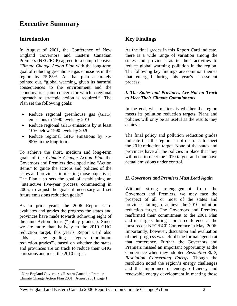### **Introduction**

In August of 2001, the Conference of New England Governors and Eastern Canadian Premiers (NEG/ECP) agreed to a comprehensive *Climate Change Action Plan* with the long-term goal of reducing greenhouse gas emissions in the region by 75-85%. As that plan accurately pointed out, "global warming, given its harmful consequences to the environment and the economy, is a joint concern for which a regional approach to strategic action is required."<sup>I</sup> The Plan set the following goals:

- Reduce regional greenhouse gas (GHG) emissions to 1990 levels by 2010.
- Reduce regional GHG emissions by at least 10% below 1990 levels by 2020.
- Reduce regional GHG emissions by 75-85% in the long-term.

To achieve the short, medium and long-term goals of the *Climate Change Action Plan* the Governors and Premiers developed nine "Action Items" to guide the actions and policies of the states and provinces in meeting those objectives. The Plan also sets the goal of establishing an "interactive five-year process, commencing in 2005, to adjust the goals if necessary and set future emissions reduction goals."

As in prior years, the 2006 Report Card evaluates and grades the progress the states and provinces have made towards achieving eight of the nine Action Items ("policy grades"). Since we are more than halfway to the 2010 GHG reduction target, this year's Report Card also adds a new grading category ("pollution reduction grades"), based on whether the states and provinces are on track to reduce their GHG emissions and meet the 2010 target.

 $\overline{a}$ 

### **Key Findings**

As the final grades in this Report Card indicate, there is a wide range of variation among the states and provinces as to their activities to reduce global warming pollution in the region. The following key findings are common themes that emerged during this year's assessment process:

### *I. The States and Provinces Are Not on Track to Meet Their Climate Commitments*

In the end, what matters is whether the region meets its pollution reduction targets. Plans and policies will only be as useful as the results they achieve.

The final policy and pollution reduction grades indicate that the region is not on track to meet the 2010 reduction target. None of the states and provinces have all the policies in place that they will need to meet the 2010 target, and none have actual emissions under control.

### *II. Governors and Premiers Must Lead Again*

Without strong re-engagement from the Governors and Premiers, we may face the prospect of all or most of the states and provinces failing to achieve the 2010 pollution reduction target. The Governors and Premiers reaffirmed their commitment to the 2001 Plan and its targets during a press conference at the most recent NEG/ECP Conference in May, 2006. Importantly, however, discussion and evaluation of their progress was left off the formal agenda at that conference. Further, the Governors and Premiers missed an important opportunity at the Conference when they adopted *Resolution 30-2, Resolution Concerning Energy*. Though the resolution noted the region's energy challenges and the importance of energy efficiency and renewable energy development in meeting those

<sup>&</sup>lt;sup>1</sup> New England Governors / Eastern Canadian Premiers Climate Change Action Plan 2001. August 2001, page 1.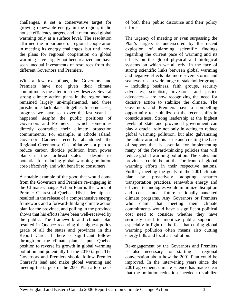challenges, it set a conservative target for growing renewable energy in the region, it did not set efficiency targets, and it mentioned global warming only at a surface level. The resolution affirmed the importance of regional cooperation in meeting its energy challenges, but until now the plans for regional cooperation on global warming have largely not been realized and have seen unequal investments of resources from the different Governors and Premiers.

With a few exceptions, the Governors and Premiers have not given their climate commitments the attention they deserve. Several strong climate action plans in the region have remained largely un-implemented, and three jurisdictions lack plans altogether. In some cases, progress we have seen over the last year has happened *despite* the public positions of Governors and Premiers – which sometimes directly contradict their climate protection commitments. For example, in Rhode Island, Governor Carcieri recently abandoned the Regional Greenhouse Gas Initiative – a plan to reduce carbon dioxide pollution from power plants in the northeast states – despite its potential for reducing global warming pollution cost-effectively and with benefit to consumers.

A notable example of the good that would come from the Governors and Premiers re-engaging in the Climate Change Action Plan is the work of Premier Charest of Quebec. His leadership has resulted in the release of a comprehensive energy framework and a forward-thinking climate action plan for the province, and polling in the province shows that his efforts have been well-received by the public. The framework and climate plan resulted in Quebec receiving the highest policy grade of all the states and provinces in this Report Card. If there is significant followthrough on the climate plan, it puts Quebec position to reverse its growth in global warming pollution and potentially hit the 2010 target. The Governors and Premiers should follow Premier Charest's lead and make global warming and meeting the targets of the 2001 Plan a top focus

of both their public discourse and their policy efforts.

The urgency of meeting or even surpassing the Plan's targets is underscored by the recent explosion of alarming scientific findings regarding the current pace of warming and its effects on the global physical and biological systems on which we all rely. In the face of strong scientific links between global warming and negative effects like more severe storms and sea level rise, a wide range of stakeholder groups – including business, faith groups, security advocates, scientists, investors, and justice advocates – are now recognizing the need for decisive action to stabilize the climate. The Governors and Premiers have a compelling opportunity to capitalize on the recent shifts in consciousness. Strong leadership at the highest levels of state and provincial government can play a crucial role not only in acting to reduce global warming pollution, but also galvanizing the public around this issue and creating the base of support that is essential for implementing many of the forward-thinking policies that will reduce global warming pollution. The states and provinces could be at the forefront of global warming efforts in their respective nations. Further, meeting the goals of the 2001 climate plan by proactively adopting smarter transportation practices, renewable energy and efficient technologies would minimize disruption and costs under future nationally-mandated climate programs. Any Governors or Premiers who claim that meeting their climate commitments would have a significant political cost need to consider whether they have seriously tried to mobilize public support – especially in light of the fact that cutting global warming pollution often means also cutting energy bills and local air pollution.

Re-engagement by the Governors and Premiers is also necessary for starting a regional conversation about how the 2001 Plan could be improved. In the intervening years since the 2001 agreement, climate science has made clear that the pollution reductions needed to stabilize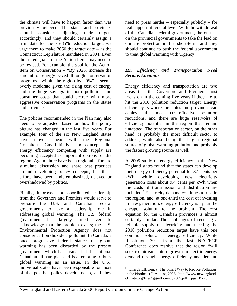the climate will have to happen faster than was previously believed. The states and provinces should consider adjusting their targets accordingly, and they should certainly assign a firm date for the 75-85% reduction target; we urge them to make 2050 the target date – as the Connecticut Legislature mandated in 2004. Even the stated goals for the Action Items may need to be revised. For example, the goal for the Action Item on Conservation – "By 2025, increase the amount of energy saved through conservation programs…within the region by 20%" – seems overly moderate given the rising cost of energy and the huge savings in both pollution and consumer costs that could accrue with more aggressive conservation programs in the states and provinces.

The policies recommended in the Plan may also need to be adjusted, based on how the policy picture has changed in the last five years. For example, four of the six New England states have moved ahead with the Regional Greenhouse Gas Initiative, and concepts like energy efficiency competing with supply are becoming accepted as important options for the region. Again, there have been regional efforts to stimulate discussion and share best practices around developing policy concepts, but these efforts have been underemphasized, delayed or overshadowed by politics.

Finally, improved and coordinated leadership from the Governors and Premiers would serve to pressure the U.S. and Canadian federal governments to take a leadership role in addressing global warming. The U.S. federal government has largely failed even to acknowledge that the problem exists; the U.S. Environmental Protection Agency does not consider carbon dioxide a pollutant. In Canada, a once progressive federal stance on global warming has been discarded by the present government, which has dismantled the national Canadian climate plan and is attempting to bury global warming as an issue. In the U.S., individual states have been responsible for most of the positive policy developments, and they

need to press harder – especially publicly – for real support at federal level. With the withdrawal of the Canadian federal government, the onus is on the provincial governments to take the lead on climate protection in the short-term, and they should continue to push the federal government to treat global warming with urgency.

### *III. Efficiency and Transportation Need Serious Attention*

Energy efficiency and transportation are two areas that the Governors and Premiers must focus on in the coming five years if they are to hit the 2010 pollution reduction target. Energy efficiency is where the states and provinces can achieve the most cost-effective pollution reductions, and there are huge reservoirs of efficiency potential in the region that remain untapped. The transportation sector, on the other hand, is probably the most difficult sector to address, while also being the largest regional source of global warming pollution and probably the fastest growing source as well.

A 2005 study of energy efficiency in the New England states found that the states can develop their energy efficiency potential for 3.1 cents per kWh, while developing new electricity generation costs about 9.4 cents per kWh when the costs of transmission and distribution are included.<sup>2</sup> Electricity demand continues to rise in the region, and, at one-third the cost of investing in new generation, energy efficiency is by far the cheaper solution to the problem. The cost equation for the Canadian provinces is almost certainly similar. The challenges of securing a reliable supply of electricity and meeting the 2010 pollution reduction target have this one common solution – energy efficiency. While Resolution 30-2 from the last NEG/ECP Conference does resolve that the region "will seek to mitigate future growth in electric energy demand through energy efficiency and demand

 $\overline{a}$ <sup>2</sup> "Energy Efficiency: The Smart Way to Reduce Pollution in the Northeast." August, 2005. http://www.newengland climate.org/files/rggiefficiency2005.pdf. pgs. 19-20.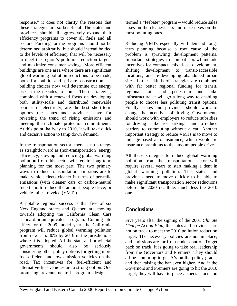response," it does not clarify the reasons that these strategies are so beneficial. The states and provinces should all aggressively expand their efficiency programs to cover all fuels and all sectors. Funding for the programs should not be determined arbitrarily, but should instead be tied to the levels of efficiency that will be necessary to meet the region's pollution reduction targets and maximize consumer savings. More efficient buildings are one area where there are significant global warming pollution reductions to be made, both for public and private construction, as building choices now will determine our energy use in the decades to come. These strategies, combined with a renewed focus on developing both utility-scale and distributed renewable sources of electricity, are the best short-term options the states and provinces have for reversing the trend of rising emissions and meeting their climate protection commitments. At this point, halfway to 2010, it will take quick and decisive action to tamp down demand.

In the transportation sector, there is no strategy as straightforward as (non-transportation) energy efficiency; slowing and reducing global warming pollution from this sector will require long-term planning for the most part. The two primary ways to reduce transportation emissions are to make vehicle fleets cleaner in terms of per-mile emissions (with cleaner cars or carbon-neutral fuels) and to reduce the amount people drive, or vehicle-miles traveled (VMTs).

A notable regional success is that five of six New England states and Quebec are moving towards adopting the California Clean Cars standard or an equivalent program. Coming into effect for the 2009 model year, the California program will reduce global warming pollution from new cars 30% by 2016 in the jurisdictions where it is adopted. All the state and provincial governments should also be seriously considering other policy options for getting more fuel-efficient and low emission vehicles on the road. Tax incentives for fuel-efficient and alternative-fuel vehicles are a strong option. One promising revenue-neutral program design –

termed a "feebate" program – would reduce sales taxes on the cleanest cars and raise taxes on the most polluting ones.

Reducing VMTs especially will demand longterm planning because a root cause of the problem is sprawling development patterns. Important strategies to combat sprawl include incentives for compact, mixed-use development, shifting development to transit-accessible locations, and re-developing abandoned urban sites. If these kinds of strategies are combined with far better regional funding for transit, regional rail, and pedestrian and bike infrastructure, it will go a long way to enabling people to choose less polluting transit options. Finally, states and provinces should work to change the incentives of driving. Governments should work with employers to reduce subsidies for driving – like free parking – and to reduce barriers to commuting without a car. Another important strategy to reduce VMTs is to move to mileage-based auto insurance, which would tie insurance premiums to the amount people drive.

All these strategies to reduce global warming pollution from the transportation sector will require several years to start making a dent in global warming pollution. The states and provinces need to move quickly to be able to make significant transportation sector reductions before the 2020 deadline, much less the 2010 one.

### **Conclusions**

Five years after the signing of the 2001 *Climate Change Action Plan*, the states and provinces are not on track to meet the 2010 pollution reduction target. The necessary policies are not in place, and emissions are far from under control. To get back on track, it is going to take real leadership from the Governors and Premiers. They should all be clamoring to get A's on the policy grades and then raising the bar even higher. And if the Governors and Premiers are going to hit the 2010 target, they will have to place a special focus on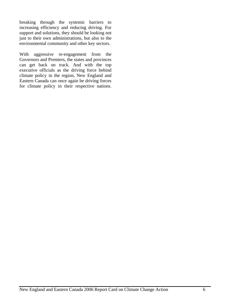breaking through the systemic barriers to increasing efficiency and reducing driving. For support and solutions, they should be looking not just to their own administrations, but also to the environmental community and other key sectors.

With aggressive re-engagement from the Governors and Premiers, the states and provinces can get back on track. And with the top executive officials as the driving force behind climate policy in the region, New England and Eastern Canada can once again be driving forces for climate policy in their respective nations.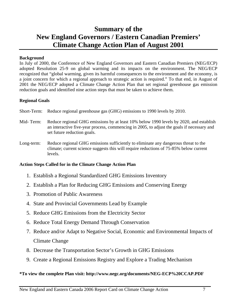# **Summary of the New England Governors / Eastern Canadian Premiers' Climate Change Action Plan of August 2001**

### **Background**

In July of 2000, the Conference of New England Governors and Eastern Canadian Premiers (NEG/ECP) adopted Resolution 25-9 on global warming and its impacts on the environment. The NEG/ECP recognized that "global warming, given its harmful consequences to the environment and the economy, is a joint concern for which a regional approach to strategic action is required." To that end, in August of 2001 the NEG/ECP adopted a Climate Change Action Plan that set regional greenhouse gas emission reduction goals and identified nine action steps that must be taken to achieve them.

### **Regional Goals**

- Short-Term: Reduce regional greenhouse gas (GHG) emissions to 1990 levels by 2010.
- Mid- Term: Reduce regional GHG emissions by at least 10% below 1990 levels by 2020, and establish an interactive five-year process, commencing in 2005, to adjust the goals if necessary and set future reduction goals.
- Long-term: Reduce regional GHG emissions sufficiently to eliminate any dangerous threat to the climate; current science suggests this will require reductions of 75-85% below current levels.

### **Action Steps Called for in the Climate Change Action Plan**

- 1. Establish a Regional Standardized GHG Emissions Inventory
- 2. Establish a Plan for Reducing GHG Emissions and Conserving Energy
- 3. Promotion of Public Awareness
- 4. State and Provincial Governments Lead by Example
- 5. Reduce GHG Emissions from the Electricity Sector
- 6. Reduce Total Energy Demand Through Conservation
- 7. Reduce and/or Adapt to Negative Social, Economic and Environmental Impacts of Climate Change
- 8. Decrease the Transportation Sector's Growth in GHG Emissions
- 9. Create a Regional Emissions Registry and Explore a Trading Mechanism

### **\*To view the complete Plan visit: http://www.negc.org/documents/NEG-ECP%20CCAP.PDF**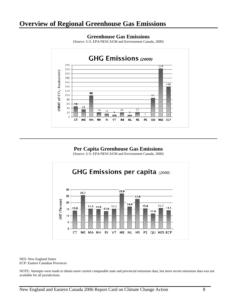### **Overview of Regional Greenhouse Gas Emissions**



#### **Greenhouse Gas Emissions**

(Source: U.S. EPA/NESCAUM and Environment Canada, 2000)

### **Per Capita Greenhouse Gas Emissions**

**\_\_\_\_\_\_\_\_\_\_\_\_\_\_\_\_\_\_\_\_\_\_\_\_\_\_\_\_\_\_\_\_\_\_\_\_\_\_\_\_\_\_\_\_\_\_\_\_\_\_\_\_\_\_\_\_\_\_\_\_\_\_\_\_\_\_\_\_\_\_\_\_\_** 

(Source: U.S. EPA/NESCAUM and Environment Canada, 2000)



NES: New England States ECP: Eastern Canadian Provinces

NOTE: Attempts were made to obtain more current comparable state and provincial emissions data, but more recent emissions data was not available for all jurisdictions.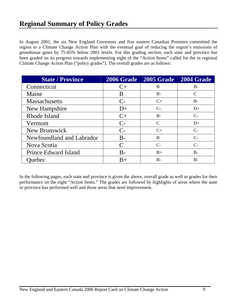In August 2001, the six New England Governors and five eastern Canadian Premiers committed the region to a Climate Change Action Plan with the eventual goal of reducing the region's emissions of greenhouse gases by 75-85% below 2001 levels. For this grading section, each state and province has been graded on its progress towards implementing eight of the "Action Items" called for the in regional Climate Change Action Plan ("policy grades"). The overall grades are as follows:

| <b>State / Province</b>   | <b>2006 Grade</b> | 2005 Grade 2004 Grade |            |
|---------------------------|-------------------|-----------------------|------------|
| Connecticut               | $C+$              | B                     | $B -$      |
| Maine                     | B                 | $B -$                 | C          |
| <b>Massachusetts</b>      | $C-$              | $C+$                  | $B-$       |
| New Hampshire             | $D+$              | $C-$                  | $D+$       |
| Rhode Island              | $C+$              | $B -$                 | $C_{\tau}$ |
| Vermont                   | $C-$              | $\mathcal{C}$         | $D+$       |
| New Brunswick             | $C-$              | $C+$                  | $C-$       |
| Newfoundland and Labrador | $B -$             | B                     | $C-$       |
| Nova Scotia               | $\mathcal C$      | $C_{\tau}$            | $C_{\tau}$ |
| Prince Edward Island      | $B -$             | $B+$                  | $B -$      |
| <b>Ouebec</b>             | $B+$              | $B -$                 | $B -$      |

In the following pages, each state and province is given the above, overall grade as well as grades for their performance on the eight "Action Items." The grades are followed by highlights of areas where the state or province has performed well and those areas that need improvement.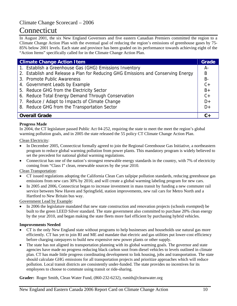# Connecticut

In August 2001, the six New England Governors and five eastern Canadian Premiers committed the region to a Climate Change Action Plan with the eventual goal of reducing the region's emissions of greenhouse gases by 75- 85% below 2001 levels. Each state and province has been graded on its performance towards achieving eight of the "Action Items" specifically called for in the Climate Change Action Plan.

| <b>Climate Change Action Item</b>                                                | Grade     |
|----------------------------------------------------------------------------------|-----------|
| 1. Establish a Greenhouse Gas (GHG) Emissions Inventory                          | A-        |
| 2. Establish and Release a Plan for Reducing GHG Emissions and Conserving Energy | B         |
| 3. Promote Public Awareness                                                      | <b>B-</b> |
| 4. Government Leads by Example                                                   | $C +$     |
| 5. Reduce GHG from the Electricity Sector                                        | $B+$      |
| 6. Reduce Total Energy Demand Through Conservation                               | $C +$     |
| 7. Reduce / Adapt to Impacts of Climate Change                                   | $D+$      |
| 8. Reduce GHG from the Transportation Sector                                     | $D+$      |
| <b>Overall Grade</b>                                                             |           |

#### **Progress Made**

In 2004, the CT legislature passed Public Act 04-252, requiring the state to meet the meet the region's global warming pollution goals, and in 2005 the state released the 55 policy CT Climate Change Action Plan.

Clean Electricity:

- In December 2005, Connecticut formally agreed to join the Regional Greenhouse Gas Initiative, a northeastern program to reduce global warming pollution from power plants. This mandatory program is widely believed to set the precedent for national global warming regulations.
- Connecticut has one of the nation's strongest renewable energy standards in the country, with 7% of electricity coming from "Class I" clean, renewable sources by the year 2010.

Clean Transportation:

- CT issued regulations adopting the California Clean Cars tailpipe pollution standards, reducing greenhouse gas emissions from new cars 30% by 2016; and will create a global warming labeling program for new cars.
- In 2005 and 2006, Connecticut began to increase investment in mass transit by funding a new commuter rail service between New Haven and Springfield, station improvements, new rail cars for Metro North and a Hartford to New Britain bus way.

Government Lead by Example:

• In 2006 the legislature mandated that new state construction and renovation projects (schools exempted) be built to the green LEED Silver standard. The state government also committed to purchase 20% clean energy by the year 2010, and began making the state fleets more fuel efficient by purchasing hybrid vehicles.

#### **Improvements Needed**

- CT is the only New England state without programs to help businesses and households use natural gas more efficiently. CT has yet to join RI and ME and mandate that electric and gas utilities put lower-cost efficiency before charging ratepayers to build new expensive new power plants or other supply.
- The state has not aligned its transportation planning with its global warming goals. The governor and state agencies have made no progress reducing black carbon soot from diesel vehicles to levels outlined in climate plan. CT has made little progress coordinating development to link housing, jobs and transportation. The state should calculate GHG emissions for all transportation projects and prioritize approaches which will reduce pollution. Local transit districts are consistently under-funded. The state provides no incentives for its employees to choose to commute using transit or ride-sharing.

**Grader:** Roger Smith, Clean Water Fund, (860-232-6232), rsmith@cleanwater.org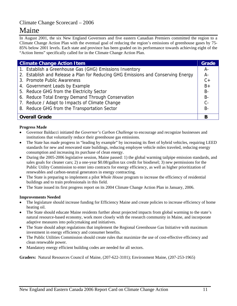# Maine

In August 2001, the six New England Governors and five eastern Canadian Premiers committed the region to a Climate Change Action Plan with the eventual goal of reducing the region's emissions of greenhouse gases by 75- 85% below 2001 levels. Each state and province has been graded on its performance towards achieving eight of the "Action Items" specifically called for in the Climate Change Action Plan.

| <b>Climate Change Action Item</b>                                                | Grade     |
|----------------------------------------------------------------------------------|-----------|
| 1. Establish a Greenhouse Gas (GHG) Emissions Inventory                          | A-        |
| 2. Establish and Release a Plan for Reducing GHG Emissions and Conserving Energy | $A -$     |
| 3. Promote Public Awareness                                                      | $C +$     |
| 4. Government Leads by Example                                                   | $B +$     |
| 5. Reduce GHG from the Electricity Sector                                        | <b>B-</b> |
| 6. Reduce Total Energy Demand Through Conservation                               | <b>B-</b> |
| 7. Reduce / Adapt to Impacts of Climate Change                                   | $C -$     |
| 8. Reduce GHG from the Transportation Sector                                     | $B -$     |
| <b>Overall Grade</b>                                                             | B         |

#### **Progress Made**

- Governor Baldacci initiated the *Governor's Carbon Challenge* to encourage and recognize businesses and institutions that voluntarily reduce their greenhouse gas emissions.
- The State has made progress in "leading by example" by increasing its fleet of hybrid vehicles, requiring LEED standards for new and renovated state buildings, reducing employee vehicle miles traveled, reducing energy consumption and increasing its purchase of clean energy.
- During the 2005-2006 legislative session, Maine passed: 1) the global warming tailpipe emission standards, and sales goals for cleaner cars; 2) a one-year \$0.08/gallon tax credit for biodiesel; 3) new permissions for the Public Utility Commission to enter into contracts for energy efficiency, as well as higher prioritization of renewables and carbon-neutral generators in energy contracting.
- The State is preparing to implement a pilot *Whole House* program to increase the efficiency of residential buildings and to train professionals in this field.
- The State issued its first progress report on its 2004 Climate Change Action Plan in January, 2006.

#### **Improvements Needed**

- The legislature should increase funding for Efficiency Maine and create policies to increase efficiency of home heating oil.
- The State should educate Maine residents further about projected impacts from global warming to the state's natural resource-based economy, work more closely with the research community in Maine, and incorporate adaptive measures into policymaking and initiatives.
- The State should adopt regulations that implement the Regional Greenhouse Gas Initiative with maximum investment in energy efficiency and consumer benefits.
- The Public Utilities Commission should create rules that maximize the use of cost-effective efficiency and clean renewable power.
- Mandatory energy efficient building codes are needed for all sectors.

**Graders:** Natural Resources Council of Maine, (207-622-3101); Environment Maine, (207-253-1965)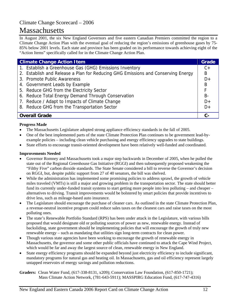# Massachusetts

In August 2001, the six New England Governors and five eastern Canadian Premiers committed the region to a Climate Change Action Plan with the eventual goal of reducing the region's emissions of greenhouse gases by 75- 85% below 2001 levels. Each state and province has been graded on its performance towards achieving eight of the "Action Items" specifically called for in the Climate Change Action Plan.

| <b>Climate Change Action Item</b> |                                                                                  | Grade |
|-----------------------------------|----------------------------------------------------------------------------------|-------|
|                                   | 1. Establish a Greenhouse Gas (GHG) Emissions Inventory                          | $C +$ |
|                                   | 2. Establish and Release a Plan for Reducing GHG Emissions and Conserving Energy | B     |
|                                   | 3. Promote Public Awareness                                                      | $D+$  |
|                                   | 4. Government Leads by Example                                                   | B     |
|                                   | 5. Reduce GHG from the Electricity Sector                                        | F     |
|                                   | 6. Reduce Total Energy Demand Through Conservation                               | $B -$ |
|                                   | 7. Reduce / Adapt to Impacts of Climate Change                                   | $D+$  |
|                                   | 8. Reduce GHG from the Transportation Sector                                     | $D+$  |
|                                   | <b>Overall Grade</b>                                                             | $c-$  |

### **Progress Made**

- The Massachusetts Legislature adopted strong appliance efficiency standards in the fall of 2005.
- One of the best implemented parts of the state Climate Protection Plan continues to be government lead-byexample policies – including clean vehicle purchasing and energy efficiency upgrades to state buildings.
- State efforts to encourage transit-oriented development have been relatively well-funded and coordinated.

#### **Improvements Needed**

- Governor Romney and Massachusetts took a major step backwards in December of 2005, when he pulled the state out of the Regional Greenhouse Gas Initiative (RGGI) and then subsequently proposed weakening the "Filthy Five" carbon dioxide standards. The State Senate considered a bill to reverse the Governor's decision on RGGI, but, despite public support from 27 of 40 senators, the bill was shelved.
- While the administration has implemented some promising policies to address sprawl, the growth of vehicle miles traveled (VMTs) is still a major and growing problem in the transportation sector. The state should better fund its currently under-funded transit systems to start getting more people into less polluting – and cheaper – alternatives to driving. Transit improvements would be bolstered by smart policies that provide incentives to drive less, such as mileage-based auto insurance.
- The Legislature should encourage the purchase of cleaner cars. As outlined in the state Climate Protection Plan, a revenue-neutral incentive program could reduce sales taxes on the cleanest cars and raise taxes on the most polluting ones.
- The state's Renewable Portfolio Standard (RPS) has been under attack in the Legislature, with various bills proposed that would designate old or polluting sources of power as new, renewable energy. Instead of backsliding, state government should be implementing policies that will encourage the growth of truly new renewable energy – such as mandating that utilities sign long-term contracts for clean power.
- Though various state agencies have been working to encourage the growth of renewable energy in Massachusetts, the governor and some other public officials have continued to attack the Cape Wind Project, which would be far and away the largest source of clean, renewable energy in New England.
- State energy efficiency programs should be expanded beyond just electricity efficiency to include significant, mandatory programs for natural gas and heating oil. In Massachusetts, gas and oil efficiency represent largely untapped reservoirs of energy savings and pollution reductions.

**Graders:** Clean Water Fund, (617-338-8131, x209); Conservation Law Foundation, (617-850-1721); Mass Climate Action Network, (781-643-5911); MASSPIRG Education Fund, (617-747-4316)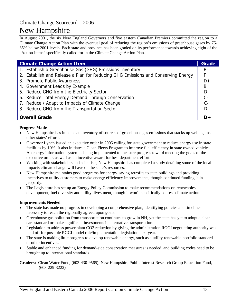# New Hampshire

In August 2001, the six New England Governors and five eastern Canadian Premiers committed the region to a Climate Change Action Plan with the eventual goal of reducing the region's emissions of greenhouse gases by 75- 85% below 2001 levels. Each state and province has been graded on its performance towards achieving eight of the "Action Items" specifically called for in the Climate Change Action Plan.

| <b>Climate Change Action Item</b> |                                                                                  | Grade |
|-----------------------------------|----------------------------------------------------------------------------------|-------|
|                                   | 1. Establish a Greenhouse Gas (GHG) Emissions Inventory                          | B-    |
|                                   | 2. Establish and Release a Plan for Reducing GHG Emissions and Conserving Energy | F     |
|                                   | 3. Promote Public Awareness                                                      | $D+$  |
|                                   | 4. Government Leads by Example                                                   | B     |
|                                   | 5. Reduce GHG from the Electricity Sector                                        | D     |
|                                   | 6. Reduce Total Energy Demand Through Conservation                               | $C -$ |
|                                   | 7. Reduce / Adapt to Impacts of Climate Change                                   | $C -$ |
|                                   | 8. Reduce GHG from the Transportation Sector                                     | $D -$ |
| <b>Overall Grade</b>              |                                                                                  | D٠    |

#### **Progress Made**

- New Hampshire has in place an inventory of sources of greenhouse gas emissions that stacks up well against other states' efforts.
- Governor Lynch issued an executive order in 2005 calling for state government to reduce energy use in state facilities by 10%. It also initiates a Clean Fleets Program to improve fuel efficiency in state owned vehicles. An energy information system is being implemented to measure progress toward meeting the goals of the executive order, as well as an incentive award for best department effort.
- Working with stakeholders and scientists, New Hampshire has completed a study detailing some of the local impacts climate change will have on the state's resources.
- New Hampshire maintains good programs for energy-saving retrofits to state buildings and providing incentives to utility customers to make energy efficiency improvements, though continued funding is in jeopardy.
- The Legislature has set up an Energy Policy Commission to make recommendations on renewables development, fuel diversity and utility divestment, though it won't specifically address climate action.

#### **Improvements Needed**

- The state has made no progress in developing a comprehensive plan, identifying policies and timelines necessary to reach the regionally agreed upon goals.
- Greenhouse gas pollution from transportation continues to grow in NH, yet the state has yet to adopt a clean cars standard or make significant investments in alternative transportation.
- Legislation to address power plant CO2 reduction by giving the administration RGGI negotiating authority was held off for possible RGGI model rule/implementation legislation next year.
- The state is making little progress to develop renewable energy, such as a utility renewable portfolio standard or other incentives.
- Stable and enhanced funding for demand-side conservation measures is needed, and building codes need to be brought up to international standards.

**Graders:** Clean Water Fund, (603-430-9565); New Hampshire Public Interest Research Group Education Fund, (603-229-3222)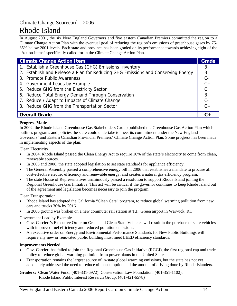# Rhode Island

In August 2001, the six New England Governors and five eastern Canadian Premiers committed the region to a Climate Change Action Plan with the eventual goal of reducing the region's emissions of greenhouse gases by 75- 85% below 2001 levels. Each state and province has been graded on its performance towards achieving eight of the "Action Items" specifically called for in the Climate Change Action Plan.

| <b>Climate Change Action Item</b> |                                                                                  | <b>Grade</b> |
|-----------------------------------|----------------------------------------------------------------------------------|--------------|
|                                   | 1. Establish a Greenhouse Gas (GHG) Emissions Inventory                          | $B+$         |
|                                   | 2. Establish and Release a Plan for Reducing GHG Emissions and Conserving Energy | B            |
|                                   | 3. Promote Public Awareness                                                      | $C -$        |
|                                   | 4. Government Leads by Example                                                   | $C +$        |
|                                   | 5. Reduce GHG from the Electricity Sector                                        | $\mathsf{C}$ |
|                                   | 6. Reduce Total Energy Demand Through Conservation                               | $B+$         |
|                                   | 7. Reduce / Adapt to Impacts of Climate Change                                   | $C -$        |
|                                   | 8. Reduce GHG from the Transportation Sector                                     | $C +$        |
| <b>Overall Grade</b>              |                                                                                  | $C+$         |

#### **Progress Made**

In 2002, the Rhode Island Greenhouse Gas Stakeholders Group published the Greenhouse Gas Action Plan which outlines programs and policies the state could undertake to meet its commitment under the New England Governors' and Eastern Canadian Provincial Premiers' Climate Change Action Plan. Some progress has been made in implementing aspects of the plan:

Clean Electricity

- In 2004, Rhode Island passed the Clean Energy Act to require 16% of the state's electricity to come from clean, renewable sources.
- In 2005 and 2006, the state adopted legislation to set state standards for appliance efficiency.
- The General Assembly passed a comprehensive energy bill in 2006 that establishes a mandate to procure all cost-effective electric efficiency and renewable energy, and creates a natural gas efficiency program.
- The state House of Representatives unanimously passed a resolution to support Rhode Island joining the Regional Greenhouse Gas Initiative. This act will be critical if the governor continues to keep Rhode Island out of the agreement and legislation becomes necessary to join the program.

Clean Transportation

- Rhode Island has adopted the California "Clean Cars" program, to reduce global warming pollution from new cars and trucks 30% by 2016.
- In 2006 ground was broken on a new commuter rail station at T.F. Green airport in Warwick, RI.

#### Government Lead by Example

- Gov. Carcieri's Executive Order on Green and Clean State Vehicles will result in the purchase of state vehicles with improved fuel efficiency and reduced pollution emissions.
- An executive order on Energy and Environmental Performance Standards for New Public Buildings will require any new or renovated public building must meet LEED efficiency standards.

#### **Improvements Needed**

- Gov. Carcieri has failed to join the Regional Greenhouse Gas Initiative (RGGI), the first regional cap and trade policy to reduce global-warming pollution from power plants in the United States.
- Transportation remains the largest source of in-state global warming emissions, but the state has not yet adequately addressed the need to reduce oil consumption and the amount of driving done by Rhode Islanders.

**Graders:** Clean Water Fund, (401-331-6972); Conservation Law Foundation, (401-351-1102); Rhode Island Public Interest Research Group, (401-421-6578)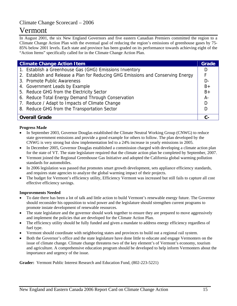# Vermont

In August 2001, the six New England Governors and five eastern Canadian Premiers committed the region to a Climate Change Action Plan with the eventual goal of reducing the region's emissions of greenhouse gases by 75- 85% below 2001 levels. Each state and province has been graded on its performance towards achieving eight of the "Action Items" specifically called for in the Climate Change Action Plan.

| <b>Climate Change Action Item</b>                                                | Grade |
|----------------------------------------------------------------------------------|-------|
| 1. Establish a Greenhouse Gas (GHG) Emissions Inventory                          | D     |
| 2. Establish and Release a Plan for Reducing GHG Emissions and Conserving Energy | F     |
| 3. Promote Public Awareness                                                      | $D -$ |
| 4. Government Leads by Example                                                   | $B+$  |
| 5. Reduce GHG from the Electricity Sector                                        | $B+$  |
| 6. Reduce Total Energy Demand Through Conservation                               | A-    |
| 7. Reduce / Adapt to Impacts of Climate Change                                   | D     |
| 8. Reduce GHG from the Transportation Sector                                     | D     |
| <b>Overall Grade</b>                                                             |       |

#### **Progress Made**

- In September 2003, Governor Douglas established the Climate Neutral Working Group (CNWG) to reduce state government emissions and provide a good example for others to follow. The plan developed by the CNWG is very strong but slow implementation led to a 24% increase in yearly emissions in 2005.
- In December 2005, Governor Douglas established a commission charged with developing a climate action plan for the state of VT. The state legislature required that the climate action plan be completed by September, 2007.
- Vermont joined the Regional Greenhouse Gas Initiative and adopted the California global warming pollution standards for automobiles.
- In 2006 legislation was passed that promotes smart growth development, sets appliance efficiency standards, and requires state agencies to analyze the global warming impact of their projects.
- The budget for Vermont's efficiency utility, Efficiency Vermont was increased but still fails to capture all cost effective efficiency savings.

#### **Improvements Needed**

- To date there has been a lot of talk and little action to build Vermont's renewable energy future. The Governor should reconsider his opposition to wind power and the legislature should strengthen current programs to promote instate development of renewable resources.
- The state legislature and the governor should work together to ensure they are prepared to move aggressively and implement the policies that are developed for the Climate Action Plan.
- The efficiency utility should be fully funded and given a mandate to address energy efficiency regardless of fuel type.
- Vermont should coordinate with neighboring states and provinces to build out a regional rail system.
- Both the Governor's office and the state legislature have done little to educate and engage Vermonters on the issue of climate change. Climate change threatens two of the key element's of Vermont's economy, tourism and agriculture. A comprehensive education program should be developed to help inform Vermonters about the importance and urgency of the issue.

**Grader:** Vermont Public Interest Research and Education Fund, (802-223-5221)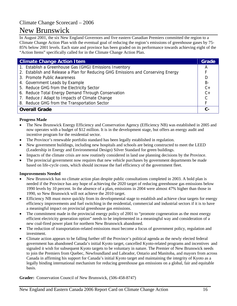# New Brunswick

In August 2001, the six New England Governors and five eastern Canadian Premiers committed the region to a Climate Change Action Plan with the eventual goal of reducing the region's emissions of greenhouse gases by 75- 85% below 2001 levels. Each state and province has been graded on its performance towards achieving eight of the "Action Items" specifically called for in the Climate Change Action Plan.

| <b>Climate Change Action Item</b>                                                |              |
|----------------------------------------------------------------------------------|--------------|
| 1. Establish a Greenhouse Gas (GHG) Emissions Inventory                          | A            |
| 2. Establish and Release a Plan for Reducing GHG Emissions and Conserving Energy |              |
| 3. Promote Public Awareness                                                      | D            |
| 4. Government Leads by Example                                                   | <b>B-</b>    |
| 5. Reduce GHG from the Electricity Sector                                        | $C +$        |
| 6. Reduce Total Energy Demand Through Conservation                               | $C +$        |
| 7. Reduce / Adapt to Impacts of Climate Change                                   | $\mathsf{C}$ |
| 8. Reduce GHG from the Transportation Sector                                     |              |
| <b>Overall Grade</b>                                                             | $C-$         |

#### **Progress Made**

- The New Brunswick Energy Efficiency and Conservation Agency (Efficiency NB) was established in 2005 and now operates with a budget of \$12 million. It is in the development stage, but offers an energy audit and incentive program for the residential sector.
- The Province's renewable portfolio standard has been legally established in regulation.
- New government buildings, including new hospitals and schools are being constructed to meet the LEED (Leadership in Energy and Environmental Design) Silver Standard for green buildings.
- Impacts of the climate crisis are now routinely considered in land use planning decisions by the Province.
- The provincial government now requires that new vehicle purchases by government departments be made based on life-cycle costs, which should increase the fuel efficiency of the government fleet.

#### **Improvements Needed**

- New Brunswick has no climate action plan despite public consultations completed in 2003. A bold plan is needed if the Province has any hope of achieving the 2020 target of reducing greenhouse gas emissions below 1990 levels by 10 percent. In the absence of a plan, emissions in 2004 were almost 47% higher than those in 1990, so New Brunswick will not achieve the 2010 target.
- Efficiency NB must move quickly from its developmental stage to establish and achieve clear targets for energy efficiency improvements and fuel switching in the residential, commercial and industrial sectors if it is to have a meaningful impact on provincial greenhouse gas emissions.
- The commitment made in the provincial energy policy of 2001 to "promote cogeneration as the most energy efficient electricity generation option" needs to be implemented in a meaningful way and consideration of a new coal-fired power plant for northern New Brunswick abandoned.
- The reduction of transportation-related emissions must become a focus of government policy, regulation and investment.
- Climate action appears to be falling further off the Province's political agenda as the newly elected federal government has abandoned Canada's initial Kyoto target, cancelled Kyoto-related programs and incentives and signaled it wish for subsequent Kyoto targets to be voluntary in nature. The Premier of New Brunswick needs to join the Premiers from Quebec, Newfoundland and Labrador, Ontario and Manitoba, and mayors from across Canada in affirming his support for Canada's initial Kyoto target and maintaining the integrity of Kyoto as a legally binding international mechanism for reducing greenhouse gas emissions on a global, fair and equitable basis.

**Grader:** Conservation Council of New Brunswick, (506-458-8747)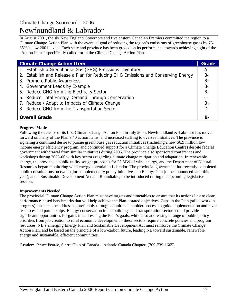### Climate Change Scorecard – 2006 Newfoundland & Labrador

In August 2001, the six New England Governors and five eastern Canadian Premiers committed the region to a Climate Change Action Plan with the eventual goal of reducing the region's emissions of greenhouse gases by 75- 85% below 2001 levels. Each state and province has been graded on its performance towards achieving eight of the "Action Items" specifically called for in the Climate Change Action Plan.

| <b>Climate Change Action Item</b>                                                |           |
|----------------------------------------------------------------------------------|-----------|
| 1. Establish a Greenhouse Gas (GHG) Emissions Inventory                          | A         |
| 2. Establish and Release a Plan for Reducing GHG Emissions and Conserving Energy | $B -$     |
| 3. Promote Public Awareness                                                      | $B+$      |
| 4. Government Leads by Example                                                   | <b>B-</b> |
| 5. Reduce GHG from the Electricity Sector                                        | <b>B-</b> |
| 6. Reduce Total Energy Demand Through Conservation                               | $C -$     |
| 7. Reduce / Adapt to Impacts of Climate Change                                   | $B+$      |
| 8. Reduce GHG from the Transportation Sector                                     | $D -$     |
| <b>Overall Grade</b>                                                             | <b>B-</b> |

### **Progress Made**

Following the release of its first Climate Change Action Plan in July 2005, Newfoundland & Labrador has moved forward on many of the Plan's 40 action items, and increased staffing to oversee initiatives. The province is signaling a continued desire to pursue greenhouse gas reduction initiatives (including a new \$6.9 million low income energy efficiency program, and continued support for a Climate Change Education Centre) despite federal government withdrawal from similar initiatives during 2006. The province also sponsored conferences and workshops during 2005-06 with key sectors regarding climate change mitigation and adaptation. In renewable energy, the province's public utility sought proposals for 25 MW of wind energy, and the Department of Natural Resources began monitoring wind energy potential in Labrador. The provincial government has recently completed public consultations on two major complementary policy initiatives: an Energy Plan (to be announced later this year), and a Sustainable Development Act and Roundtable, to be introduced during the upcoming legislative session.

#### **Improvements Needed**

The provincial Climate Change Action Plan must have targets and timetables to ensure that its actions link to clear, performance-based benchmarks that will help achieve the Plan's stated objectives. Gaps in the Plan (still a work in progress) must also be addressed, preferably through a multi-stakeholder process to guide implementation and lever resources and partnerships. Energy conservation in the buildings and transportation sectors could provide significant opportunities for gains in addressing the Plan's goals, while also addressing a range of public policy priorities from job creation to rural economic development – these sectors require concrete policies and program resources. NL's emerging Energy Plan and Sustainable Development Act must reinforce the Climate Change Action Plan, and be based on the principle of a low-carbon future, leading NL toward sustainable, renewable energy and sustainable, efficient communities.

**Grader:** Bruce Pearce, Sierra Club of Canada – Atlantic Canada Chapter, (709-739-1665)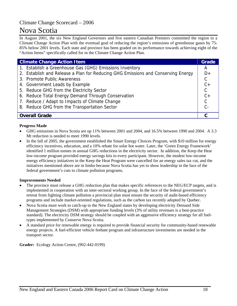# Nova Scotia

In August 2001, the six New England Governors and five eastern Canadian Premiers committed the region to a Climate Change Action Plan with the eventual goal of reducing the region's emissions of greenhouse gases by 75- 85% below 2001 levels. Each state and province has been graded on its performance towards achieving eight of the "Action Items" specifically called for in the Climate Change Action Plan.

| <b>Climate Change Action Item</b>                                                |               |
|----------------------------------------------------------------------------------|---------------|
| 1. Establish a Greenhouse Gas (GHG) Emissions Inventory                          | A             |
| 2. Establish and Release a Plan for Reducing GHG Emissions and Conserving Energy | $D+$          |
| 3. Promote Public Awareness                                                      | $\mathsf{C}$  |
| 4. Government Leads by Example                                                   | $C +$         |
| 5. Reduce GHG from the Electricity Sector                                        | $\mathcal{C}$ |
| 6. Reduce Total Energy Demand Through Conservation                               | $C +$         |
| 7. Reduce / Adapt to Impacts of Climate Change                                   | $\mathcal{C}$ |
| 8. Reduce GHG from the Transportation Sector                                     | $C -$         |
| <b>Overall Grade</b>                                                             |               |

#### **Progress Made**

- GHG emissions in Nova Scotia are up 11% between 2001 and 2004, and 16.5% between 1990 and 2004. A 3.3 Mt reduction is needed to meet 1990 levels.
- In the fall of 2005, the government established the Smart Energy Choices Program, with \$10 million for energy efficiency incentives, education, and a 10% rebate for solar hot water. Later, the 'Green Energy Framework' identified 1 million tonnes in annual GHG reductions in the electricity sector. In addition, the Keep the Heat low-income program provided energy savings kits to every participant. However, the modest low-income energy efficiency initiatives in the Keep the Heat Program were cancelled for an energy sales tax cut, and the initiatives mentioned above are in limbo because Nova Scotia has yet to show leadership in the face of the federal government's cuts to climate pollution programs.

#### **Improvements Needed**

- The province must release a GHG reduction plan that makes specific references to the NEG/ECP targets, and is implemented in cooperation with an inter-sectoral working group. In the face of the federal government's retreat from fighting climate pollution a provincial plan must ensure the security of audit-based efficiency programs and include market-oriented regulations, such as the carbon tax recently adopted by Quebec.
- Nova Scotia must work to catch-up to the New England states by developing electricity Demand Side Management Strategies (DSM) with appropriate funding levels (3% of utility revenues is a best-practice standard). The electricity DSM strategy should be coupled with an aggressive efficiency strategy for all fueltypes implemented by Conserve Nova Scotia.
- A standard price for renewable energy is required to provide financial security for community-based renewable energy projects. A fuel-efficient vehicle feebate program and infrastructure investments are needed in the transport sector.

**Grader:** Ecology Action Centre, (902-442-0199)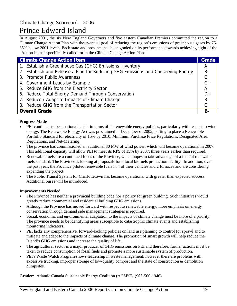# Prince Edward Island

In August 2001, the six New England Governors and five eastern Canadian Premiers committed the region to a Climate Change Action Plan with the eventual goal of reducing the region's emissions of greenhouse gases by 75- 85% below 2001 levels. Each state and province has been graded on its performance towards achieving eight of the "Action Items" specifically called for in the Climate Change Action Plan.

| <b>Climate Change Action Item</b>                                                | Grade          |
|----------------------------------------------------------------------------------|----------------|
| 1. Establish a Greenhouse Gas (GHG) Emissions Inventory                          | A              |
| 2. Establish and Release a Plan for Reducing GHG Emissions and Conserving Energy | $B -$          |
| 3. Promote Public Awareness                                                      | $\mathsf C$    |
| 4. Government Leads by Example                                                   | $C +$          |
| 5. Reduce GHG from the Electricity Sector                                        | $\overline{A}$ |
| 6. Reduce Total Energy Demand Through Conservation                               | $D+$           |
| 7. Reduce / Adapt to Impacts of Climate Change                                   | $B -$          |
| 8. Reduce GHG from the Transportation Sector                                     | $\mathsf{C}$   |
| <b>Overall Grade</b>                                                             | <b>B-</b>      |

### **Progress Made**

- PEI continues to be a national leader in terms of its renewable energy policies, particularly with respect to wind energy. The Renewable Energy Act was proclaimed in December of 2005, putting in place a Renewable Portfolio Standard for electricity of 15% by 2010, Minimum Purchase Price Regulations, Designated Area Regulations, and Net-Metering.
- The province has commissioned an additional 30 MW of wind power, which will become operational in 2007. This additional capacity will allow PEI to meet its RPS of 15% by 2007; three years earlier than required.
- Renewable fuels are a continued focus of the Province, which hopes to take advantage of a federal renewable fuels standard. The Province is looking at proposals for a local biofuels production facility. In addition, over the past year, the Province piloted renewable fuels in 4 of their vehicles and 2 furnaces and are considering expanding the project.
- The Public Transit System for Charlottetown has become operational with greater than expected success. Additional buses will be introduced.

#### **Improvements Needed**

- The Province has neither a provincial building code nor a policy for green building. Such initiatives would greatly reduce commercial and residential building GHG emissions.
- Although the Province has moved forward with respect to renewable energy, more emphasis on energy conservation through demand side management strategies is required.
- Social, economic and environmental adaptation to the impacts of climate change must be more of a priority. The province needs to be identifying areas susceptible to catastrophic climate events and establishing monitoring indicators.
- PEI lacks any comprehensive, forward-looking policies on land use planning to control for sprawl and to mitigate and adapt to the impacts of climate change. The promotion of smart growth will help reduce the Island's GHG emissions and increase the quality of life.
- The agricultural sector is a major producer of GHG emissions on PEI and therefore, further actions must be taken to reduce consumption of fossil fuels and promote a more sustainable system of production.
- PEI's Waste Watch Program shows leadership in waste management; however there are problems with excessive trucking, improper storage of low-quality compost and the state of construction & demolition dumpsites.

**Grader:** Atlantic Canada Sustainable Energy Coalition (ACSEC), (902-566-1946)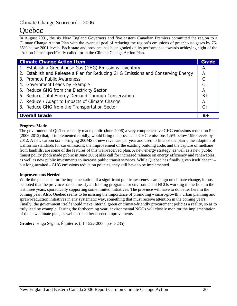# Quebec

In August 2001, the six New England Governors and five eastern Canadian Premiers committed the region to a Climate Change Action Plan with the eventual goal of reducing the region's emissions of greenhouse gases by 75- 85% below 2001 levels. Each state and province has been graded on its performance towards achieving eight of the "Action Items" specifically called for in the Climate Change Action Plan.

| <b>Climate Change Action Item</b> |                                                                                  |       |  |
|-----------------------------------|----------------------------------------------------------------------------------|-------|--|
|                                   | 1. Establish a Greenhouse Gas (GHG) Emissions Inventory                          | А     |  |
|                                   | 2. Establish and Release a Plan for Reducing GHG Emissions and Conserving Energy | Α     |  |
|                                   | 3. Promote Public Awareness                                                      |       |  |
|                                   | 4. Government Leads by Example                                                   |       |  |
|                                   | 5. Reduce GHG from the Electricity Sector                                        | А     |  |
|                                   | 6. Reduce Total Energy Demand Through Conservation                               | $B+$  |  |
|                                   | 7. Reduce / Adapt to Impacts of Climate Change                                   | Α     |  |
|                                   | 8. Reduce GHG from the Transportation Sector                                     | $C +$ |  |
| <b>Overall Grade</b>              |                                                                                  |       |  |

#### **Progress Made**

The government of Québec recently made public (June 2006) a very comprehensive GHG emissions reduction Plan (2006-2012) that, if implemented rapidly, would bring the province's GHG emissions 1,5% below 1990 levels by 2012. A new carbon tax – bringing 200M\$ of new revenues per year and used to finance the plan -, the adoption of California standards for car emissions, the improvement of the existing building code, and the capture of methane from landfills, are some of the features of this well-received plan. A new energy strategy, as well as a new public transit policy (both made public in June 2006) also call for increased reliance on energy efficiency and renewables, as well as new public investments to increase public transit services. While Québec has finally given itself decent – but long-awaited - GHG emissions reduction policies, they still have to be implemented.

#### **Improvements Needed**

While the plan calls for the implementation of a significant public awareness campaign on climate change, it must be noted that the province has cut nearly all funding programs for environmental NGOs working in the field in the last three years, sporadically supporting some limited initiatives. The province will have to do better here in the coming year. Also, Québec seems to be missing the importance of promoting « smart-growth » urban planning and sprawl-reduction initiatives in any systematic way, something that must receive attention in the coming years. Finally, the government itself should make internal green or climate-friendly procurement policies a reality, so as to truly lead by example. During the forthcoming year, environmental NGOs will closely monitor the implementation of the new climate plan, as well as the other needed improvements.

**Grader:** Hugo Séguin, Équiterre, (514-522-2000, poste 235)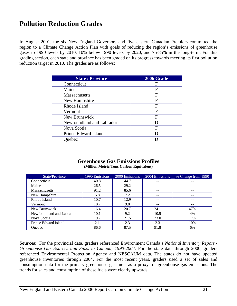In August 2001, the six New England Governors and five eastern Canadian Premiers committed the region to a Climate Change Action Plan with goals of reducing the region's emissions of greenhouse gases to 1990 levels by 2010, 10% below 1990 levels by 2020, and 75-85% in the long-term. For this grading section, each state and province has been graded on its progress towards meeting its first pollution reduction target in 2010. The grades are as follows:

| <b>State / Province</b>   | 2006 Grade |
|---------------------------|------------|
| Connecticut               | F          |
| Maine                     | F          |
| Massachusetts             | F          |
| New Hampshire             | F          |
| Rhode Island              | F          |
| Vermont                   | F          |
| New Brunswick             | F          |
| Newfoundland and Labrador |            |
| Nova Scotia               | F          |
| Prince Edward Island      |            |
| uebec                     |            |

### **Greenhouse Gas Emissions Profiles (Million Metric Tons Carbon Equivalent)**

| State/Province            | 1990 Emissions | 2000 Emissions | 2004 Emissions | % Change from 1990 |
|---------------------------|----------------|----------------|----------------|--------------------|
| Connecticut               | 40.8           | 44.7           | $- -$          | $- -$              |
| Maine                     | 26.5           | 29.2           | $- -$          | $- -$              |
| Massachusetts             | 91.2           | 85.6           | --             | --                 |
| New Hampshire             | 5.8            | 7.2            | --             | --                 |
| Rhode Island              | 10.7           | 12.9           | --             | --                 |
| Vermont                   | 10.7           | 9.8            | --             | --                 |
| New Brunswick             | 16.4           | 20.7           | 24.1           | 47%                |
| Newfoundland and Labrador | 10.1           | 9.2            | 10.5           | 4%                 |
| Nova Scotia               | 19.7           | 21.5           | 23.0           | 17%                |
| Prince Edward Island      | 2.1            | 2.3            | 2.3            | 10%                |
| <b>Ouebec</b>             | 86.6           | 87.5           | 91.8           | 6%                 |

**Sources:** For the provincial data, graders referenced Environment Canada's *National Inventory Report - Greenhouse Gas Sources and Sinks in Canada, 1990-2004.* For the state data through 2000, graders referenced Environmental Protection Agency and NESCAUM data. The states do not have updated greenhouse inventories through 2004. For the most recent years, graders used a set of sales and consumption data for the primary greenhouse gas fuels as a proxy for greenhouse gas emissions. The trends for sales and consumption of these fuels were clearly upwards.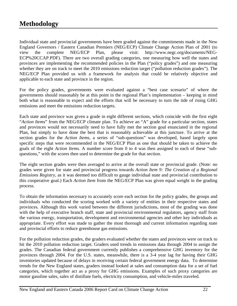## **Methodology**

Individual state and provincial governments have been graded against the commitments made in the New England Governors / Eastern Canadian Premiers (NEG/ECP) Climate Change Action Plan of 2001 (to view the complete NEG/ECP Plan, please visit: http://www.negc.org/documents/NEG-ECP%20CCAP.PDF). There are two overall grading categories, one measuring how well the states and provinces are implementing the recommended policies in the Plan ("policy grades") and one measuring whether they are on track to meet the 2010 emissions reduction target ("pollution reduction grades"). The NEG/ECP Plan provided us with a framework for analysis that could be relatively objective and applicable to each state and province in the region.

For the policy grades, governments were evaluated against a "best case scenario" of where the governments should reasonably be at this point in the regional Plan's implementation – keeping in mind both what is reasonable to expect and the efforts that will be necessary to turn the tide of rising GHG emissions and meet the emissions reduction targets.

Each state and province was given a grade in eight different sections, which coincide with the first eight "*Action Items*" from the NEG/ECP climate plan. To achieve an "A" grade for a particular section, states and provinces would not necessarily need to have fully met the section goal enunciated in the regional Plan, but simply to have done the best that is reasonably achievable at this juncture. To arrive at the section grades for the *Action Items*, a series of "sub-questions" was developed, based largely upon specific steps that were recommended in the NEG/ECP Plan as one that should be taken to achieve the goals of the eight *Action Items.* A number score from 0 to 4 was then assigned to each of these "subquestions," with the scores then used to determine the grade for that section.

The eight section grades were then averaged to arrive at the overall state or provincial grade. (Note: no grades were given for state and provincial progress towards *Action Item 9: The Creation of a Regional Emissions Registry*, as it was deemed too difficult to gauge individual state and provincial contribution to this cooperative goal.) Each *Action Item* from the NEG/ECP Plan was given equal weight in the grading process.

To obtain the information necessary to accurately score each section for the policy grades, the groups and individuals who conducted the scoring worked with a variety of entities in their respective states and provinces. Although this work varied between the different jurisdictions, most of the grading was done with the help of executive branch staff, state and provincial environmental regulators, agency staff from the various energy, transportation, development and environmental agencies and other key individuals as appropriate. Every effort was made to gather the most thorough and current information regarding state and provincial efforts to reduce greenhouse gas emissions.

For the pollution reduction grades, the graders evaluated whether the states and provinces were on track to hit the 2010 pollution reduction target. Graders used trends in emissions data through 2004 to assign the grades. The Canadian federal government currently publishes a comprehensive GHG inventory for the provinces through 2004. For the U.S. states, meanwhile, there is a 3-4 year lag for having their GHG inventories updated because of delays in receiving certain federal government energy data. To determine trends for the New England states, graders instead looked at sales and consumption data for a set of fuel categories, which together act as a proxy for GHG emissions. Examples of such proxy categories are motor gasoline sales, sales of distillate fuels, electricity consumption, and vehicle-miles traveled.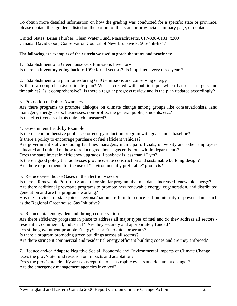To obtain more detailed information on how the grading was conducted for a specific state or province, please contact the "graders" listed on the bottom of that state or provincial summary page, or contact:

United States: Brian Thurber, Clean Water Fund, Massachusetts, 617-338-8131, x209 Canada: David Coon, Conservation Council of New Brunswick, 506-458-8747

### **The following are examples of the criteria we used to grade the states and provinces:**

1. Establishment of a Greenhouse Gas Emissions Inventory

Is there an inventory going back to 1990 for all sectors? Is it updated every three years?

2. Establishment of a plan for reducing GHG emissions and conserving energy

Is there a comprehensive climate plan? Was it created with public input which has clear targets and timetables? Is it comprehensive? Is there a regular progress review and is the plan updated accordingly?

3. Promotion of Public Awareness

Are there programs to promote dialogue on climate change among groups like conservationists, land managers, energy users, businesses, non-profits, the general public, students, etc.? Is the effectiveness of this outreach measured?

4. Government Leads by Example

Is there a comprehensive public sector energy reduction program with goals and a baseline?

Is there a policy to encourage purchase of fuel efficient vehicles?

Are government staff, including facilities managers, municipal officials, university and other employees educated and trained on how to reduce greenhouse gas emissions within departments?

Does the state invest in efficiency upgrades if payback is less than 10 yrs?

Is there a good policy that addresses province/state construction and sustainable building design? Are there requirements for the use of "environmentally preferable" products?

5. Reduce Greenhouse Gases in the electricity sector

Is there a Renewable Portfolio Standard or similar program that mandates increased renewable energy? Are there additional prov/state programs to promote new renewable energy, cogeneration, and distributed generation and are the programs working?

Has the province or state joined regional/national efforts to reduce carbon intensity of power plants such as the Regional Greenhouse Gas Initiative?

6. Reduce total energy demand through conservation

Are there efficiency programs in place to address all major types of fuel and do they address all sectors residential, commercial, industrial? Are they securely and appropriately funded?

Doest the government promote EnergyStar or EnerGuide programs?

Is there a program promoting green buildings across all sectors?

Are there stringent commercial and residential energy efficient building codes and are they enforced?

7. Reduce and/or Adapt to Negative Social, Economic and Environmental Impacts of Climate Change Does the prov/state fund research on impacts and adaptation?

Does the prov/state identify areas susceptible to catastrophic events and document changes? Are the emergency management agencies involved?